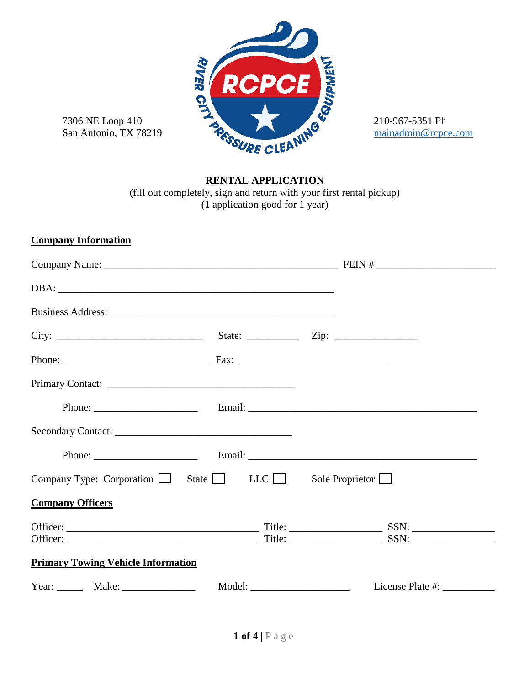

# **RENTAL APPLICATION**

(fill out completely, sign and return with your first rental pickup) (1 application good for 1 year)

# **Company Information**

| Company Type: Corporation $\Box$ State $\Box$ LLC $\Box$<br>Sole Proprietor $\Box$ |  |  |  |
|------------------------------------------------------------------------------------|--|--|--|
| <b>Company Officers</b>                                                            |  |  |  |
|                                                                                    |  |  |  |
| <b>Primary Towing Vehicle Information</b>                                          |  |  |  |
| Year: $\frac{\text{Make:}}{\text{Make:}}$                                          |  |  |  |
|                                                                                    |  |  |  |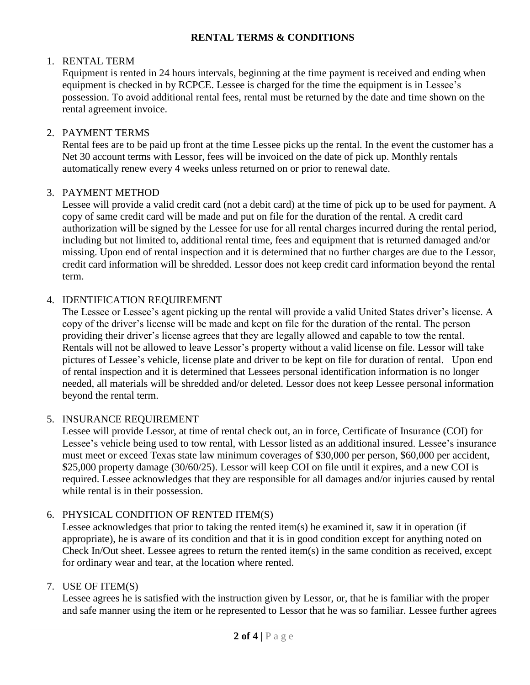### **RENTAL TERMS & CONDITIONS**

### 1. RENTAL TERM

Equipment is rented in 24 hours intervals, beginning at the time payment is received and ending when equipment is checked in by RCPCE. Lessee is charged for the time the equipment is in Lessee's possession. To avoid additional rental fees, rental must be returned by the date and time shown on the rental agreement invoice.

### 2. PAYMENT TERMS

Rental fees are to be paid up front at the time Lessee picks up the rental. In the event the customer has a Net 30 account terms with Lessor, fees will be invoiced on the date of pick up. Monthly rentals automatically renew every 4 weeks unless returned on or prior to renewal date.

#### 3. PAYMENT METHOD

Lessee will provide a valid credit card (not a debit card) at the time of pick up to be used for payment. A copy of same credit card will be made and put on file for the duration of the rental. A credit card authorization will be signed by the Lessee for use for all rental charges incurred during the rental period, including but not limited to, additional rental time, fees and equipment that is returned damaged and/or missing. Upon end of rental inspection and it is determined that no further charges are due to the Lessor, credit card information will be shredded. Lessor does not keep credit card information beyond the rental term.

### 4. IDENTIFICATION REQUIREMENT

The Lessee or Lessee's agent picking up the rental will provide a valid United States driver's license. A copy of the driver's license will be made and kept on file for the duration of the rental. The person providing their driver's license agrees that they are legally allowed and capable to tow the rental. Rentals will not be allowed to leave Lessor's property without a valid license on file. Lessor will take pictures of Lessee's vehicle, license plate and driver to be kept on file for duration of rental. Upon end of rental inspection and it is determined that Lessees personal identification information is no longer needed, all materials will be shredded and/or deleted. Lessor does not keep Lessee personal information beyond the rental term.

#### 5. INSURANCE REQUIREMENT

Lessee will provide Lessor, at time of rental check out, an in force, Certificate of Insurance (COI) for Lessee's vehicle being used to tow rental, with Lessor listed as an additional insured. Lessee's insurance must meet or exceed Texas state law minimum coverages of \$30,000 per person, \$60,000 per accident, \$25,000 property damage (30/60/25). Lessor will keep COI on file until it expires, and a new COI is required. Lessee acknowledges that they are responsible for all damages and/or injuries caused by rental while rental is in their possession.

## 6. PHYSICAL CONDITION OF RENTED ITEM(S)

Lessee acknowledges that prior to taking the rented item(s) he examined it, saw it in operation (if appropriate), he is aware of its condition and that it is in good condition except for anything noted on Check In/Out sheet. Lessee agrees to return the rented item(s) in the same condition as received, except for ordinary wear and tear, at the location where rented.

#### 7. USE OF ITEM(S)

Lessee agrees he is satisfied with the instruction given by Lessor, or, that he is familiar with the proper and safe manner using the item or he represented to Lessor that he was so familiar. Lessee further agrees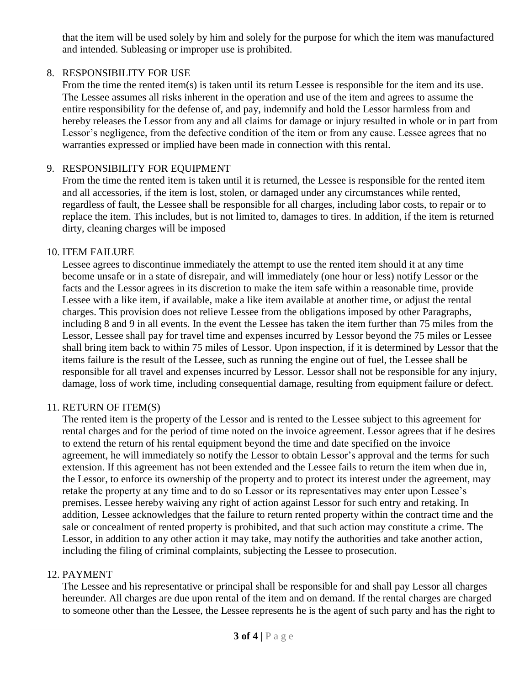that the item will be used solely by him and solely for the purpose for which the item was manufactured and intended. Subleasing or improper use is prohibited.

# 8. RESPONSIBILITY FOR USE

From the time the rented item(s) is taken until its return Lessee is responsible for the item and its use. The Lessee assumes all risks inherent in the operation and use of the item and agrees to assume the entire responsibility for the defense of, and pay, indemnify and hold the Lessor harmless from and hereby releases the Lessor from any and all claims for damage or injury resulted in whole or in part from Lessor's negligence, from the defective condition of the item or from any cause. Lessee agrees that no warranties expressed or implied have been made in connection with this rental.

# 9. RESPONSIBILITY FOR EQUIPMENT

From the time the rented item is taken until it is returned, the Lessee is responsible for the rented item and all accessories, if the item is lost, stolen, or damaged under any circumstances while rented, regardless of fault, the Lessee shall be responsible for all charges, including labor costs, to repair or to replace the item. This includes, but is not limited to, damages to tires. In addition, if the item is returned dirty, cleaning charges will be imposed

# 10. ITEM FAILURE

Lessee agrees to discontinue immediately the attempt to use the rented item should it at any time become unsafe or in a state of disrepair, and will immediately (one hour or less) notify Lessor or the facts and the Lessor agrees in its discretion to make the item safe within a reasonable time, provide Lessee with a like item, if available, make a like item available at another time, or adjust the rental charges. This provision does not relieve Lessee from the obligations imposed by other Paragraphs, including 8 and 9 in all events. In the event the Lessee has taken the item further than 75 miles from the Lessor, Lessee shall pay for travel time and expenses incurred by Lessor beyond the 75 miles or Lessee shall bring item back to within 75 miles of Lessor. Upon inspection, if it is determined by Lessor that the items failure is the result of the Lessee, such as running the engine out of fuel, the Lessee shall be responsible for all travel and expenses incurred by Lessor. Lessor shall not be responsible for any injury, damage, loss of work time, including consequential damage, resulting from equipment failure or defect.

## 11. RETURN OF ITEM(S)

The rented item is the property of the Lessor and is rented to the Lessee subject to this agreement for rental charges and for the period of time noted on the invoice agreement. Lessor agrees that if he desires to extend the return of his rental equipment beyond the time and date specified on the invoice agreement, he will immediately so notify the Lessor to obtain Lessor's approval and the terms for such extension. If this agreement has not been extended and the Lessee fails to return the item when due in, the Lessor, to enforce its ownership of the property and to protect its interest under the agreement, may retake the property at any time and to do so Lessor or its representatives may enter upon Lessee's premises. Lessee hereby waiving any right of action against Lessor for such entry and retaking. In addition, Lessee acknowledges that the failure to return rented property within the contract time and the sale or concealment of rented property is prohibited, and that such action may constitute a crime. The Lessor, in addition to any other action it may take, may notify the authorities and take another action, including the filing of criminal complaints, subjecting the Lessee to prosecution.

## 12. PAYMENT

The Lessee and his representative or principal shall be responsible for and shall pay Lessor all charges hereunder. All charges are due upon rental of the item and on demand. If the rental charges are charged to someone other than the Lessee, the Lessee represents he is the agent of such party and has the right to